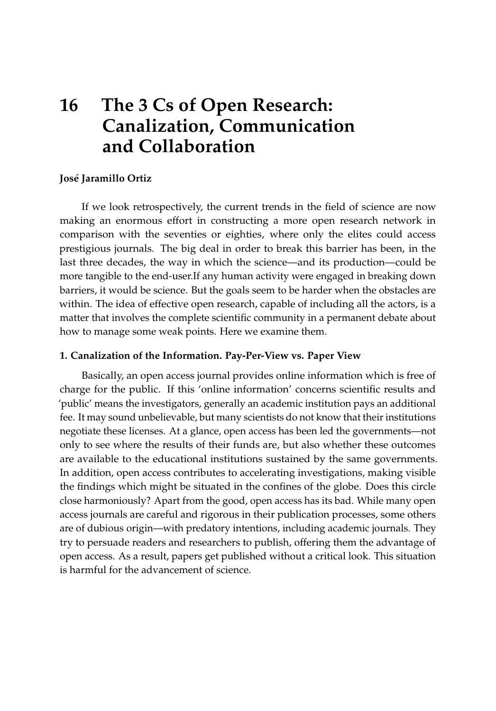# **16 The 3 Cs of Open Research: Canalization, Communication and Collaboration**

## **José Jaramillo Ortiz**

If we look retrospectively, the current trends in the field of science are now making an enormous effort in constructing a more open research network in comparison with the seventies or eighties, where only the elites could access prestigious journals. The big deal in order to break this barrier has been, in the last three decades, the way in which the science—and its production—could be more tangible to the end-user.If any human activity were engaged in breaking down barriers, it would be science. But the goals seem to be harder when the obstacles are within. The idea of effective open research, capable of including all the actors, is a matter that involves the complete scientific community in a permanent debate about how to manage some weak points. Here we examine them.

### **1. Canalization of the Information. Pay-Per-View vs. Paper View**

Basically, an open access journal provides online information which is free of charge for the public. If this 'online information' concerns scientific results and 'public' means the investigators, generally an academic institution pays an additional fee. It may sound unbelievable, but many scientists do not know that their institutions negotiate these licenses. At a glance, open access has been led the governments—not only to see where the results of their funds are, but also whether these outcomes are available to the educational institutions sustained by the same governments. In addition, open access contributes to accelerating investigations, making visible the findings which might be situated in the confines of the globe. Does this circle close harmoniously? Apart from the good, open access has its bad. While many open access journals are careful and rigorous in their publication processes, some others are of dubious origin—with predatory intentions, including academic journals. They try to persuade readers and researchers to publish, offering them the advantage of open access. As a result, papers get published without a critical look. This situation is harmful for the advancement of science.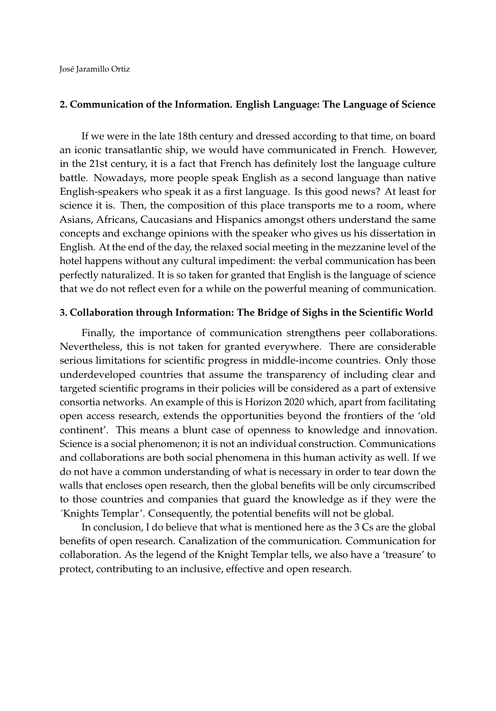#### **2. Communication of the Information. English Language: The Language of Science**

If we were in the late 18th century and dressed according to that time, on board an iconic transatlantic ship, we would have communicated in French. However, in the 21st century, it is a fact that French has definitely lost the language culture battle. Nowadays, more people speak English as a second language than native English-speakers who speak it as a first language. Is this good news? At least for science it is. Then, the composition of this place transports me to a room, where Asians, Africans, Caucasians and Hispanics amongst others understand the same concepts and exchange opinions with the speaker who gives us his dissertation in English. At the end of the day, the relaxed social meeting in the mezzanine level of the hotel happens without any cultural impediment: the verbal communication has been perfectly naturalized. It is so taken for granted that English is the language of science that we do not reflect even for a while on the powerful meaning of communication.

### **3. Collaboration through Information: The Bridge of Sighs in the Scientific World**

Finally, the importance of communication strengthens peer collaborations. Nevertheless, this is not taken for granted everywhere. There are considerable serious limitations for scientific progress in middle-income countries. Only those underdeveloped countries that assume the transparency of including clear and targeted scientific programs in their policies will be considered as a part of extensive consortia networks. An example of this is Horizon 2020 which, apart from facilitating open access research, extends the opportunities beyond the frontiers of the 'old continent'. This means a blunt case of openness to knowledge and innovation. Science is a social phenomenon; it is not an individual construction. Communications and collaborations are both social phenomena in this human activity as well. If we do not have a common understanding of what is necessary in order to tear down the walls that encloses open research, then the global benefits will be only circumscribed to those countries and companies that guard the knowledge as if they were the ´Knights Templar'. Consequently, the potential benefits will not be global.

In conclusion, I do believe that what is mentioned here as the 3 Cs are the global benefits of open research. Canalization of the communication. Communication for collaboration. As the legend of the Knight Templar tells, we also have a 'treasure' to protect, contributing to an inclusive, effective and open research.